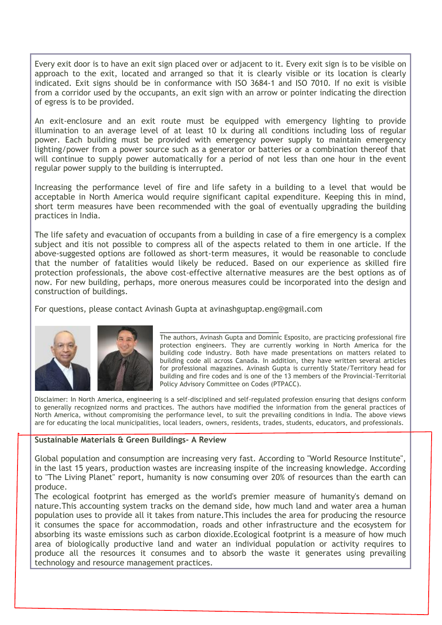Every exit door is to have an exit sign placed over or adjacent to it. Every exit sign is to be visible on approach to the exit, located and arranged so that it is clearly visible or its location is clearly indicated. Exit signs should be in conformance with ISO 3684-1 and ISO 7010. If no exit is visible from a corridor used by the occupants, an exit sign with an arrow or pointer indicating the direction of egress is to be provided.

An exit-enclosure and an exit route must be equipped with emergency lighting to provide illumination to an average level of at least 10 lx during all conditions including loss of regular power. Each building must be provided with emergency power supply to maintain emergency lighting/power from a power source such as a generator or batteries or a combination thereof that will continue to supply power automatically for a period of not less than one hour in the event regular power supply to the building is interrupted.

Increasing the performance level of fire and life safety in a building to a level that would be acceptable in North America would require significant capital expenditure. Keeping this in mind, short term measures have been recommended with the goal of eventually upgrading the building practices in India.

The life safety and evacuation of occupants from a building in case of a fire emergency is a complex subject and itis not possible to compress all of the aspects related to them in one article. If the above-suggested options are followed as short-term measures, it would be reasonable to conclude that the number of fatalities would likely be reduced. Based on our experience as skilled fire protection professionals, the above cost-effective alternative measures are the best options as of now. For new building, perhaps, more onerous measures could be incorporated into the design and construction of buildings.

\_\_\_\_\_\_\_\_\_\_\_\_\_\_\_\_\_\_\_\_\_

For questions, please contact Avinash Gupta at avinashguptap.eng@gmail.com



The authors, Avinash Gupta and Dominic Esposito, are practicing professional fire protection engineers. They are currently working in North America for the building code industry. Both have made presentations on matters related to building code all across Canada. In addition, they have written several articles for professional magazines. Avinash Gupta is currently State/Territory head for building and fire codes and is one of the 13 members of the Provincial-Territorial Policy Advisory Committee on Codes (PTPACC).

Disclaimer: In North America, engineering is a self-disciplined and self-regulated profession ensuring that designs conform to generally recognized norms and practices. The authors have modified the information from the general practices of North America, without compromising the performance level, to suit the prevailing conditions in India. The above views are for educating the local municipalities, local leaders, owners, residents, trades, students, educators, and professionals.

## **Sustainable Materials & Green Buildings- A Review**

Global population and consumption are increasing very fast. According to "World Resource Institute", in the last 15 years, production wastes are increasing inspite of the increasing knowledge. According to "The Living Planet" report, humanity is now consuming over 20% of resources than the earth can produce.

The ecological footprint has emerged as the world's premier measure of humanity's demand on nature.This accounting system tracks on the demand side, how much land and water area a human population uses to provide all it takes from nature.This includes the area for producing the resource it consumes the space for accommodation, roads and other infrastructure and the ecosystem for absorbing its waste emissions such as carbon dioxide.Ecological footprint is a measure of how much area of biologically productive land and water an individual population or activity requires to produce all the resources it consumes and to absorb the waste it generates using prevailing technology and resource management practices.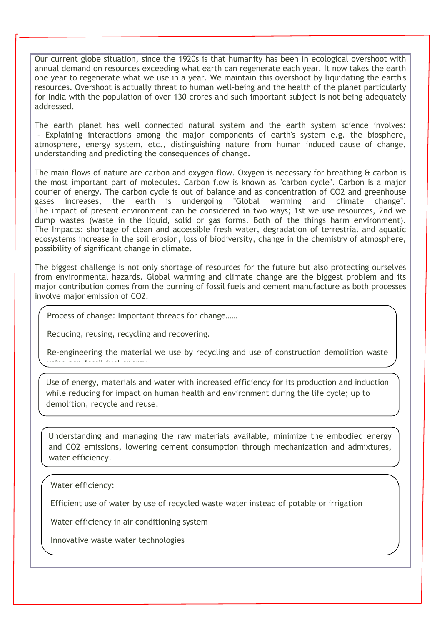Our current globe situation, since the 1920s is that humanity has been in ecological overshoot with annual demand on resources exceeding what earth can regenerate each year. It now takes the earth one year to regenerate what we use in a year. We maintain this overshoot by liquidating the earth's resources. Overshoot is actually threat to human well-being and the health of the planet particularly for India with the population of over 130 crores and such important subject is not being adequately addressed.

The earth planet has well connected natural system and the earth system science involves: - Explaining interactions among the major components of earth's system e.g. the biosphere, atmosphere, energy system, etc., distinguishing nature from human induced cause of change, understanding and predicting the consequences of change.

The main flows of nature are carbon and oxygen flow. Oxygen is necessary for breathing  $\alpha$  carbon is the most important part of molecules. Carbon flow is known as "carbon cycle". Carbon is a major courier of energy. The carbon cycle is out of balance and as concentration of CO2 and greenhouse gases increases, the earth is undergoing "Global warming and climate change". The impact of present environment can be considered in two ways; 1st we use resources, 2nd we dump wastes (waste in the liquid, solid or gas forms. Both of the things harm environment). The Impacts: shortage of clean and accessible fresh water, degradation of terrestrial and aquatic ecosystems increase in the soil erosion, loss of biodiversity, change in the chemistry of atmosphere, possibility of significant change in climate.

The biggest challenge is not only shortage of resources for the future but also protecting ourselves from environmental hazards. Global warming and climate change are the biggest problem and its major contribution comes from the burning of fossil fuels and cement manufacture as both processes involve major emission of CO2.

Process of change: Important threads for change……

Reducing, reusing, recycling and recovering.

Re-engineering the material we use by recycling and use of construction demolition waste  $u = \frac{1}{2}$  fuel energy.

Use of energy, materials and water with increased efficiency for its production and induction while reducing for impact on human health and environment during the life cycle; up to demolition, recycle and reuse.

Understanding and managing the raw materials available, minimize the embodied energy and CO2 emissions, lowering cement consumption through mechanization and admixtures, water efficiency.

Water efficiency:

Efficient use of water by use of recycled waste water instead of potable or irrigation

Water efficiency in air conditioning system

Conservation of water use in domestic & industries

Innovative waste water technologies